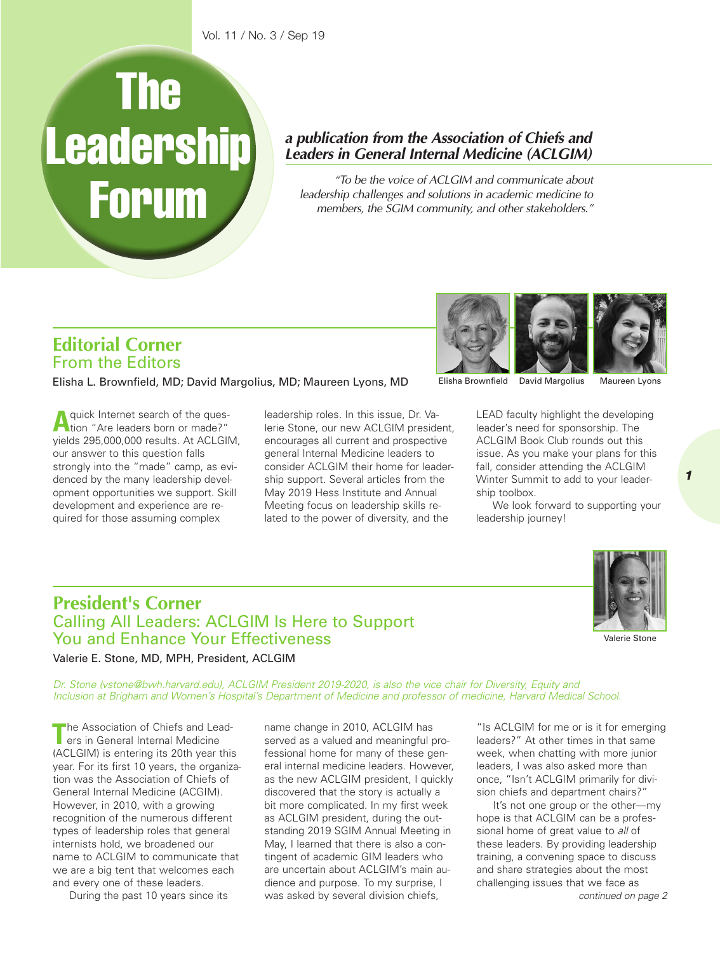# **The Leadership Forum**

### *a publication from the Association of Chiefs and Leaders in General Internal Medicine (ACLGIM)*

*"To be the voice of ACLGIM and communicate about leadership challenges and solutions in academic medicine to members, the SGIM community, and other stakeholders."*

## **Editorial Corner** From the Editors

Elisha L. Brownfield, MD; David Margolius, MD; Maureen Lyons, MD

A quick Internet search of the ques-<br>tion "Are leaders born or made?" yields 295,000,000 results. At ACLGIM, our answer to this question falls strongly into the "made" camp, as evidenced by the many leadership development opportunities we support. Skill development and experience are required for those assuming complex

leadership roles. In this issue, Dr. Valerie Stone, our new ACLGIM president, encourages all current and prospective general Internal Medicine leaders to consider ACLGIM their home for leadership support. Several articles from the May 2019 Hess Institute and Annual Meeting focus on leadership skills related to the power of diversity, and the

Elisha Brownfield David Margolius

Maureen Lyons

*1*

LEAD faculty highlight the developing leader's need for sponsorship. The ACLGIM Book Club rounds out this issue. As you make your plans for this fall, consider attending the ACLGIM Winter Summit to add to your leadership toolbox.

We look forward to supporting your leadership journey!

# **President's Corner** Calling All Leaders: ACLGIM Is Here to Support You and Enhance Your Effectiveness



Valerie Stone

Valerie E. Stone, MD, MPH, President, ACLGIM

*Dr. Stone (vstone@bwh.harvard.edu), ACLGIM President 2019-2020, is also the vice chair for Diversity, Equity and* Inclusion at Brigham and Women's Hospital's Department of Medicine and professor of medicine, Harvard Medical School.

**The Association of Chiefs and Lead-<br>
ers in General Internal Medicine** (ACLGIM) is entering its 20th year this year. For its first 10 years, the organization was the Association of Chiefs of General Internal Medicine (ACGIM). However, in 2010, with a growing recognition of the numerous different types of leadership roles that general internists hold, we broadened our name to ACLGIM to communicate that we are a big tent that welcomes each and every one of these leaders.

During the past 10 years since its

name change in 2010, ACLGIM has served as a valued and meaningful professional home for many of these general internal medicine leaders. However, as the new ACLGIM president, I quickly discovered that the story is actually a bit more complicated. In my first week as ACLGIM president, during the outstanding 2019 SGIM Annual Meeting in May, I learned that there is also a contingent of academic GIM leaders who are uncertain about ACLGIM's main audience and purpose. To my surprise, I was asked by several division chiefs,

"Is ACLGIM for me or is it for emerging leaders?" At other times in that same week, when chatting with more junior leaders, I was also asked more than once, "Isn't ACLGIM primarily for division chiefs and department chairs?"

*continued on page 2* It's not one group or the other—my hope is that ACLGIM can be a professional home of great value to *all* of these leaders. By providing leadership training, a convening space to discuss and share strategies about the most challenging issues that we face as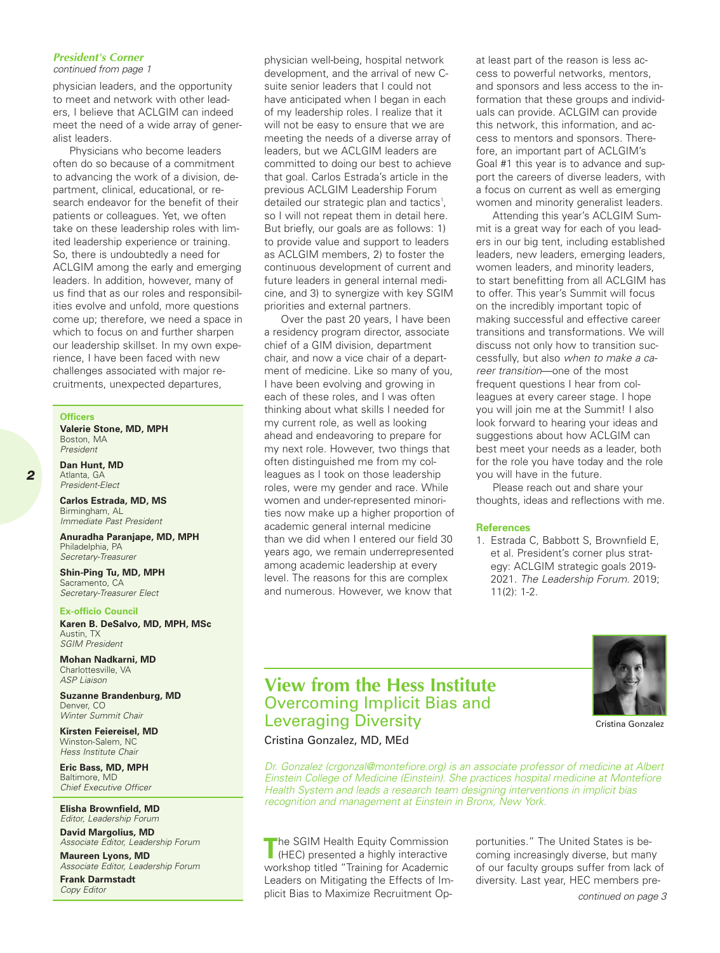#### *President's Corner*

*continued from page 1*

physician leaders, and the opportunity to meet and network with other leaders, I believe that ACLGIM can indeed meet the need of a wide array of generalist leaders.

Physicians who become leaders often do so because of a commitment to advancing the work of a division, department, clinical, educational, or research endeavor for the benefit of their patients or colleagues. Yet, we often take on these leadership roles with limited leadership experience or training. So, there is undoubtedly a need for ACLGIM among the early and emerging leaders. In addition, however, many of us find that as our roles and responsibilities evolve and unfold, more questions come up; therefore, we need a space in which to focus on and further sharpen our leadership skillset. In my own experience, I have been faced with new challenges associated with major recruitments, unexpected departures,

#### **Officers**

**Valerie Stone, MD, MPH** Boston, MA *President*

**Dan Hunt, MD** Atlanta, GA *President-Elect*

**Carlos Estrada, MD, MS** Birmingham, AL *Immediate Past President*

**Anuradha Paranjape, MD, MPH** Philadelphia, PA *Secretary-Treasurer*

**Shin-Ping Tu, MD, MPH** Sacramento, CA *Secretary-Treasurer Elect*

#### **Ex-officio Council**

**Karen B. DeSalvo, MD, MPH, MSc** Austin, TX *SGIM President*

**Mohan Nadkarni, MD** Charlottesville, VA *ASP Liaison*

**Suzanne Brandenburg, MD** Denver, CO *Winter Summit Chair*

**Kirsten Feiereisel, MD** Winston-Salem, NC *Hess Institute Chair*

**Eric Bass, MD, MPH** Baltimore, MD *Chief Executive Officer*

**Elisha Brownfield, MD** *Editor, Leadership Forum*

**David Margolius, MD** *Associate Editor, Leadership Forum*

**Maureen Lyons, MD** *Associate Editor, Leadership Forum*

**Frank Darmstadt** *Copy Editor*

physician well-being, hospital network development, and the arrival of new Csuite senior leaders that I could not have anticipated when I began in each of my leadership roles. I realize that it will not be easy to ensure that we are meeting the needs of a diverse array of leaders, but we ACLGIM leaders are committed to doing our best to achieve that goal. Carlos Estrada's article in the previous ACLGIM Leadership Forum detailed our strategic plan and tactics<sup>1</sup>, so I will not repeat them in detail here. But briefly, our goals are as follows: 1) to provide value and support to leaders as ACLGIM members, 2) to foster the continuous development of current and future leaders in general internal medicine, and 3) to synergize with key SGIM priorities and external partners.

Over the past 20 years, I have been a residency program director, associate chief of a GIM division, department chair, and now a vice chair of a department of medicine. Like so many of you, I have been evolving and growing in each of these roles, and I was often thinking about what skills I needed for my current role, as well as looking ahead and endeavoring to prepare for my next role. However, two things that often distinguished me from my colleagues as I took on those leadership roles, were my gender and race. While women and under-represented minorities now make up a higher proportion of academic general internal medicine than we did when I entered our field 30 years ago, we remain underrepresented among academic leadership at every level. The reasons for this are complex and numerous. However, we know that

at least part of the reason is less access to powerful networks, mentors, and sponsors and less access to the information that these groups and individuals can provide. ACLGIM can provide this network, this information, and access to mentors and sponsors. Therefore, an important part of ACLGIM's Goal #1 this year is to advance and support the careers of diverse leaders, with a focus on current as well as emerging women and minority generalist leaders.

Attending this year's ACLGIM Summit is a great way for each of you leaders in our big tent, including established leaders, new leaders, emerging leaders, women leaders, and minority leaders, to start benefitting from all ACLGIM has to offer. This year's Summit will focus on the incredibly important topic of making successful and effective career transitions and transformations. We will discuss not only how to transition successfully, but also *when to make a career transition*—one of the most frequent questions I hear from colleagues at every career stage. I hope you will join me at the Summit! I also look forward to hearing your ideas and suggestions about how ACLGIM can best meet your needs as a leader, both for the role you have today and the role you will have in the future.

Please reach out and share your thoughts, ideas and reflections with me.

#### **References**

1. Estrada C, Babbott S, Brownfield E, et al. President's corner plus strategy: ACLGIM strategic goals 2019- 2021. *The Leadership Forum*. 2019; 11(2): 1-2.



Cristina Gonzalez

# **View from the Hess Institute** Overcoming Implicit Bias and Leveraging Diversity

Cristina Gonzalez, MD, MEd

*Dr. Gonzalez (crgonzal@montefiore.org) is an associate professor of medicine at Albert Einstein College of Medicine (Einstein). She practices hospital medicine at Montefiore Health System and leads a research team designing interventions in implicit bias recognition and management at Einstein in Bronx, New York.*

**The SGIM Health Equity Commission**  $\blacksquare$  (HEC) presented a highly interactive workshop titled "Training for Academic Leaders on Mitigating the Effects of Implicit Bias to Maximize Recruitment Opportunities." The United States is becoming increasingly diverse, but many of our faculty groups suffer from lack of diversity. Last year, HEC members pre-

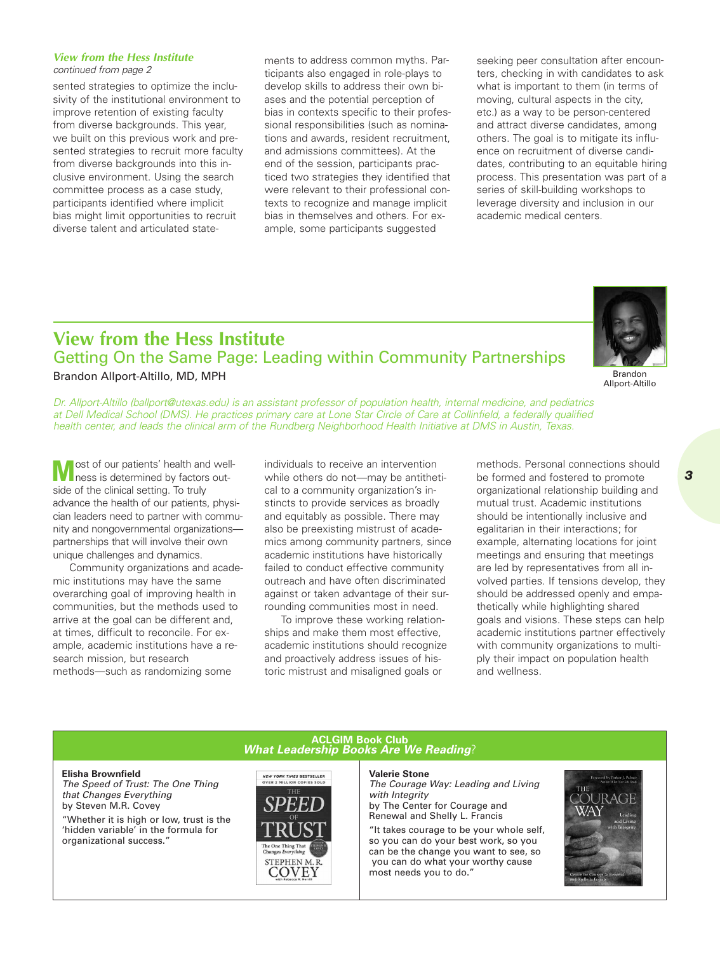#### *View from the Hess Institute continued from page 2*

sented strategies to optimize the inclusivity of the institutional environment to improve retention of existing faculty from diverse backgrounds. This year, we built on this previous work and presented strategies to recruit more faculty from diverse backgrounds into this inclusive environment. Using the search committee process as a case study, participants identified where implicit bias might limit opportunities to recruit diverse talent and articulated statements to address common myths. Participants also engaged in role-plays to develop skills to address their own biases and the potential perception of bias in contexts specific to their professional responsibilities (such as nominations and awards, resident recruitment, and admissions committees). At the end of the session, participants practiced two strategies they identified that were relevant to their professional contexts to recognize and manage implicit bias in themselves and others. For example, some participants suggested

seeking peer consultation after encounters, checking in with candidates to ask what is important to them (in terms of moving, cultural aspects in the city, etc.) as a way to be person-centered and attract diverse candidates, among others. The goal is to mitigate its influence on recruitment of diverse candidates, contributing to an equitable hiring process. This presentation was part of a series of skill-building workshops to leverage diversity and inclusion in our academic medical centers.

## **View from the Hess Institute** Getting On the Same Page: Leading within Community Partnerships Brandon Allport-Altillo, MD, MPH



Brandon Allport-Altillo

*Dr. Allport-Altillo (ballport@utexas.edu) is an assistant professor of population health, internal medicine, and pediatrics* at Dell Medical School (DMS). He practices primary care at Lone Star Circle of Care at Collinfield, a federally qualified health center, and leads the clinical arm of the Rundberg Neighborhood Health Initiative at DMS in Austin, Texas.

**M** ost of our patients' health and well-<br> **M** ness is determined by factors outside of the clinical setting. To truly advance the health of our patients, physician leaders need to partner with community and nongovernmental organizations partnerships that will involve their own unique challenges and dynamics.

Community organizations and academic institutions may have the same overarching goal of improving health in communities, but the methods used to arrive at the goal can be different and, at times, difficult to reconcile. For example, academic institutions have a research mission, but research methods—such as randomizing some

individuals to receive an intervention while others do not—may be antithetical to a community organization's instincts to provide services as broadly and equitably as possible. There may also be preexisting mistrust of academics among community partners, since academic institutions have historically failed to conduct effective community outreach and have often discriminated against or taken advantage of their surrounding communities most in need.

To improve these working relationships and make them most effective, academic institutions should recognize and proactively address issues of historic mistrust and misaligned goals or

methods. Personal connections should be formed and fostered to promote organizational relationship building and mutual trust. Academic institutions should be intentionally inclusive and egalitarian in their interactions; for example, alternating locations for joint meetings and ensuring that meetings are led by representatives from all involved parties. If tensions develop, they should be addressed openly and empathetically while highlighting shared goals and visions. These steps can help academic institutions partner effectively with community organizations to multiply their impact on population health and wellness.